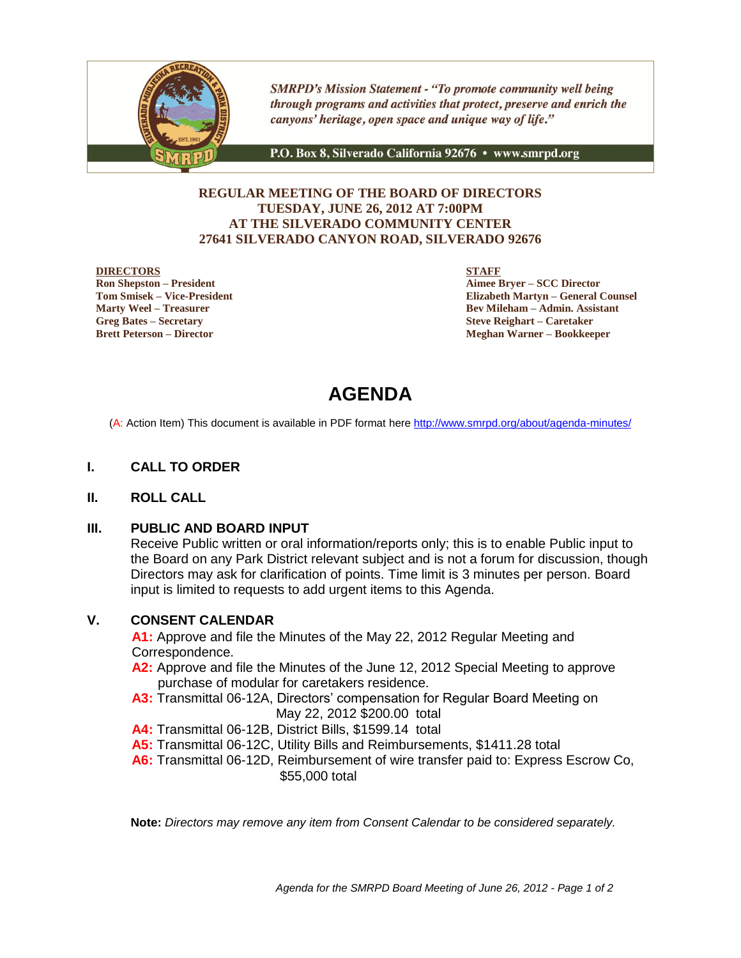

**SMRPD's Mission Statement - "To promote community well being** through programs and activities that protect, preserve and enrich the canyons' heritage, open space and unique way of life."

P.O. Box 8, Silverado California 92676 · www.smrpd.org

### **REGULAR MEETING OF THE BOARD OF DIRECTORS TUESDAY, JUNE 26, 2012 AT 7:00PM AT THE SILVERADO COMMUNITY CENTER 27641 SILVERADO CANYON ROAD, SILVERADO 92676**

### **DIRECTORS**

**Ron Shepston – President Tom Smisek – Vice-President Marty Weel – Treasurer Greg Bates – Secretary Brett Peterson – Director**

**STAFF**

**Aimee Bryer – SCC Director Elizabeth Martyn – General Counsel Bev Mileham – Admin. Assistant Steve Reighart – Caretaker Meghan Warner – Bookkeeper**

# **AGENDA**

(A: Action Item) This document is available in PDF format here <http://www.smrpd.org/>about/agenda-minutes/

### **I. CALL TO ORDER**

### **II. ROLL CALL**

### **III. PUBLIC AND BOARD INPUT**

Receive Public written or oral information/reports only; this is to enable Public input to the Board on any Park District relevant subject and is not a forum for discussion, though Directors may ask for clarification of points. Time limit is 3 minutes per person. Board input is limited to requests to add urgent items to this Agenda.

### **V. CONSENT CALENDAR**

**A1:** Approve and file the Minutes of the May 22, 2012 Regular Meeting and Correspondence.

- **A2:** Approve and file the Minutes of the June 12, 2012 Special Meeting to approve purchase of modular for caretakers residence.
- **A3:** Transmittal 06-12A, Directors' compensation for Regular Board Meeting on May 22, 2012 \$200.00 total
- **A4:** Transmittal 06-12B, District Bills, \$1599.14 total
- **A5:** Transmittal 06-12C, Utility Bills and Reimbursements, \$1411.28 total
- **A6:** Transmittal 06-12D, Reimbursement of wire transfer paid to: Express Escrow Co, \$55,000 total

**Note:** *Directors may remove any item from Consent Calendar to be considered separately.*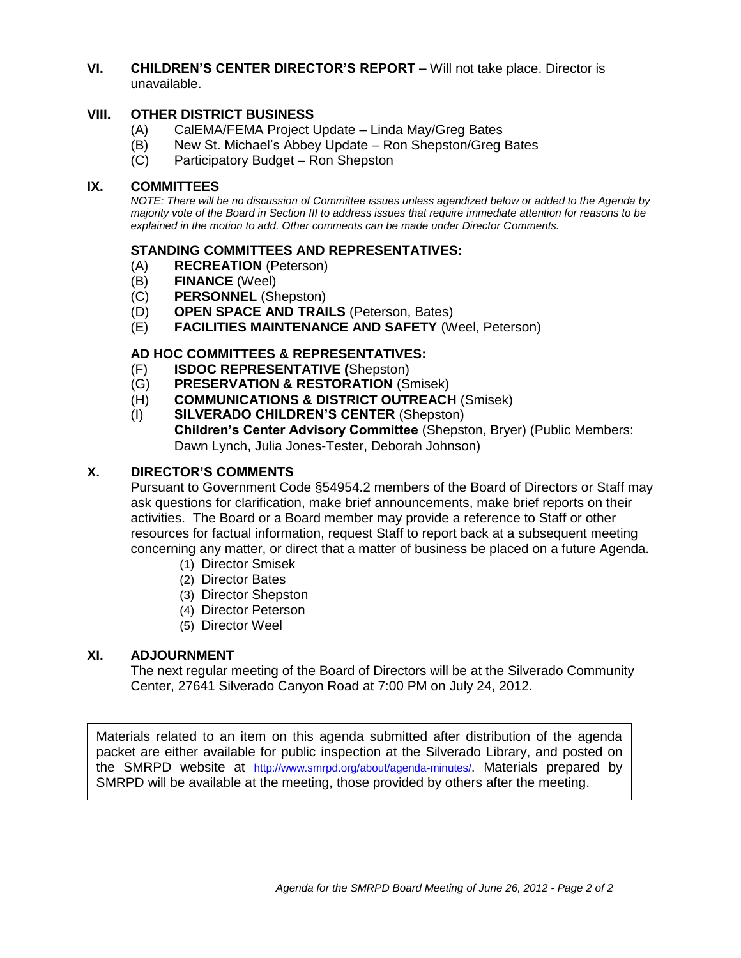## **VI. CHILDREN'S CENTER DIRECTOR'S REPORT –** Will not take place. Director is unavailable.

# **VIII. OTHER DISTRICT BUSINESS**

- (A) CalEMA/FEMA Project Update Linda May/Greg Bates
- (B) New St. Michael's Abbey Update Ron Shepston/Greg Bates
- (C) Participatory Budget Ron Shepston

## **IX. COMMITTEES**

*NOTE: There will be no discussion of Committee issues unless agendized below or added to the Agenda by majority vote of the Board in Section III to address issues that require immediate attention for reasons to be explained in the motion to add. Other comments can be made under Director Comments.*

# **STANDING COMMITTEES AND REPRESENTATIVES:**

- (A) **RECREATION** (Peterson)
- (B) **FINANCE** (Weel)
- (C) **PERSONNEL** (Shepston)
- (D) **OPEN SPACE AND TRAILS** (Peterson, Bates)
- (E) **FACILITIES MAINTENANCE AND SAFETY** (Weel, Peterson)

# **AD HOC COMMITTEES & REPRESENTATIVES:**

- (F) **ISDOC REPRESENTATIVE (**Shepston)
- (G) **PRESERVATION & RESTORATION** (Smisek)
- (H) **COMMUNICATIONS & DISTRICT OUTREACH** (Smisek)
- (I) **SILVERADO CHILDREN'S CENTER** (Shepston) **Children's Center Advisory Committee** (Shepston, Bryer) (Public Members: Dawn Lynch, Julia Jones-Tester, Deborah Johnson)

## **X. DIRECTOR'S COMMENTS**

Pursuant to Government Code §54954.2 members of the Board of Directors or Staff may ask questions for clarification, make brief announcements, make brief reports on their activities. The Board or a Board member may provide a reference to Staff or other resources for factual information, request Staff to report back at a subsequent meeting concerning any matter, or direct that a matter of business be placed on a future Agenda.

- (1) Director Smisek
- (2) Director Bates
- (3) Director Shepston
- (4) Director Peterson
- (5) Director Weel

### **XI. ADJOURNMENT**

The next regular meeting of the Board of Directors will be at the Silverado Community Center, 27641 Silverado Canyon Road at 7:00 PM on July 24, 2012.

Materials related to an item on this agenda submitted after distribution of the agenda packet are either available for public inspection at the Silverado Library, and posted on the SMRPD website at <http://www.smrpd.org/>about/agenda-minutes/. Materials prepared by SMRPD will be available at the meeting, those provided by others after the meeting.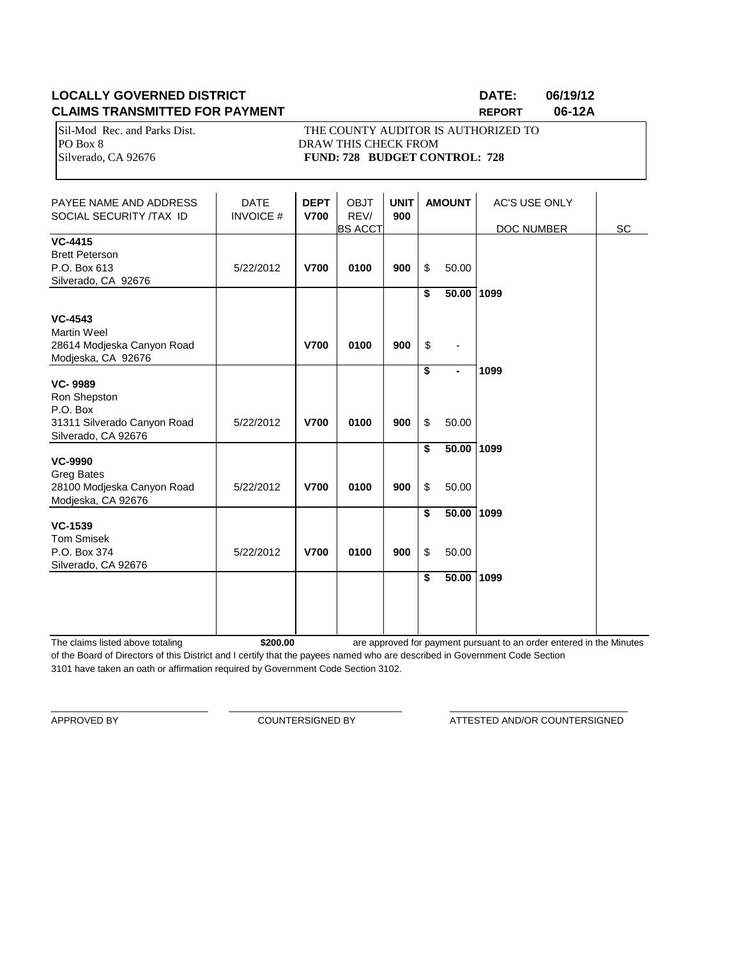# **LOCALLY GOVERNED DISTRICT DATE: 06/19/12 CLAIMS TRANSMITTED FOR PAYMENT REPORT 06-12A**

PO Box 8 DRAW THIS CHECK FROM

Sil-Mod Rec. and Parks Dist. THE COUNTY AUDITOR IS AUTHORIZED TO Silverado, CA 92676 **FUND: 728 BUDGET CONTROL: 728** 

| PAYEE NAME AND ADDRESS<br>SOCIAL SECURITY /TAX ID                                                | <b>DATE</b><br><b>INVOICE#</b> | <b>DEPT</b><br><b>V700</b> | <b>OBJT</b><br>REV/<br><b>BS ACCT</b> | <b>UNIT</b><br>900 | <b>AMOUNT</b>                     |                                        | <b>AC'S USE ONLY</b><br>DOC NUMBER | SC |
|--------------------------------------------------------------------------------------------------|--------------------------------|----------------------------|---------------------------------------|--------------------|-----------------------------------|----------------------------------------|------------------------------------|----|
| <b>VC-4415</b><br><b>Brett Peterson</b><br>P.O. Box 613<br>Silverado, CA 92676                   | 5/22/2012                      | <b>V700</b>                | 0100                                  | 900                | \$                                | 50.00                                  |                                    |    |
| <b>VC-4543</b><br><b>Martin Weel</b><br>28614 Modjeska Canyon Road<br>Modjeska, CA 92676         |                                | <b>V700</b>                | 0100                                  | 900                | \$<br>$\boldsymbol{\mathsf{S}}$   | 50.00 1099<br>$\overline{\phantom{a}}$ |                                    |    |
| <b>VC-9989</b><br>Ron Shepston<br>P.O. Box<br>31311 Silverado Canyon Road<br>Silverado, CA 92676 | 5/22/2012                      | <b>V700</b>                | 0100                                  | 900                | $\overline{\boldsymbol{s}}$<br>\$ | ٠<br>50.00                             | 1099                               |    |
| <b>VC-9990</b><br><b>Greg Bates</b><br>28100 Modjeska Canyon Road<br>Modjeska, CA 92676          | 5/22/2012                      | <b>V700</b>                | 0100                                  | 900                | \$<br>\$                          | 50.00<br>50.00                         | 1099                               |    |
| <b>VC-1539</b><br><b>Tom Smisek</b><br>P.O. Box 374<br>Silverado, CA 92676                       | 5/22/2012                      | <b>V700</b>                | 0100                                  | 900                | \$<br>\$                          | 50.00 1099<br>50.00                    |                                    |    |
|                                                                                                  |                                |                            |                                       |                    | \$                                | 50.00                                  | 1099                               |    |

The claims listed above totaling **\$200.00** of the Board of Directors of this District and I certify that the payees named who are described in Government Code Section 3101 have taken an oath or affirmation required by Government Code Section 3102. are approved for payment pursuant to an order entered in the Minutes

\_\_\_\_\_\_\_\_\_\_\_\_\_\_\_\_\_\_\_\_\_\_\_\_\_\_\_\_\_\_ \_\_\_\_\_\_\_\_\_\_\_\_\_\_\_\_\_\_\_\_\_\_\_\_\_\_\_\_\_\_\_\_\_ \_\_\_\_\_\_\_\_\_\_\_\_\_\_\_\_\_\_\_\_\_\_\_\_\_\_\_\_\_\_\_\_\_\_

APPROVED BY COUNTERSIGNED BY ATTESTED AND/OR COUNTERSIGNED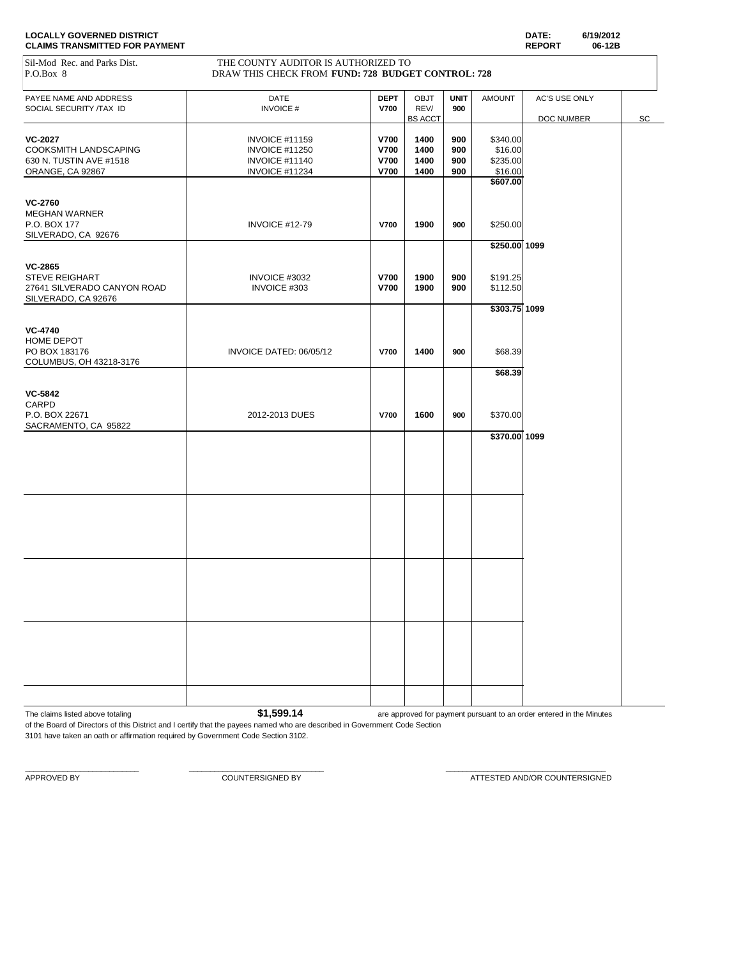| Sil-Mod Rec. and Parks Dist.<br>P.O.Box 8         | THE COUNTY AUDITOR IS AUTHORIZED TO<br>DRAW THIS CHECK FROM FUND: 728 BUDGET CONTROL: 728 |                            |                     |                    |                     |               |    |
|---------------------------------------------------|-------------------------------------------------------------------------------------------|----------------------------|---------------------|--------------------|---------------------|---------------|----|
|                                                   |                                                                                           |                            |                     |                    |                     |               |    |
| PAYEE NAME AND ADDRESS<br>SOCIAL SECURITY /TAX ID | DATE<br><b>INVOICE#</b>                                                                   | <b>DEPT</b><br><b>V700</b> | <b>OBJT</b><br>REV/ | <b>UNIT</b><br>900 | <b>AMOUNT</b>       | AC'S USE ONLY |    |
|                                                   |                                                                                           |                            | <b>BS ACCT</b>      |                    |                     | DOC NUMBER    | SC |
| <b>VC-2027</b>                                    | <b>INVOICE #11159</b>                                                                     | <b>V700</b>                | 1400                | 900                | \$340.00            |               |    |
| COOKSMITH LANDSCAPING                             | <b>INVOICE #11250</b>                                                                     | <b>V700</b>                | 1400                | 900                | \$16.00             |               |    |
| 630 N. TUSTIN AVE #1518                           | <b>INVOICE #11140</b>                                                                     | <b>V700</b>                | 1400                | 900                | \$235.00            |               |    |
| ORANGE, CA 92867                                  | <b>INVOICE #11234</b>                                                                     | <b>V700</b>                | 1400                | 900                | \$16.00<br>\$607.00 |               |    |
|                                                   |                                                                                           |                            |                     |                    |                     |               |    |
| <b>VC-2760</b>                                    |                                                                                           |                            |                     |                    |                     |               |    |
| <b>MEGHAN WARNER</b>                              |                                                                                           |                            |                     |                    |                     |               |    |
| P.O. BOX 177<br>SILVERADO, CA 92676               | INVOICE #12-79                                                                            | <b>V700</b>                | 1900                | 900                | \$250.00            |               |    |
|                                                   |                                                                                           |                            |                     |                    | $$250.00$ 1099      |               |    |
|                                                   |                                                                                           |                            |                     |                    |                     |               |    |
| <b>VC-2865</b><br><b>STEVE REIGHART</b>           | INVOICE #3032                                                                             | V700                       | 1900                | 900                | \$191.25            |               |    |
| 27641 SILVERADO CANYON ROAD                       | INVOICE #303                                                                              | <b>V700</b>                | 1900                | 900                | \$112.50            |               |    |
| SILVERADO, CA 92676                               |                                                                                           |                            |                     |                    |                     |               |    |
|                                                   |                                                                                           |                            |                     |                    | $$303.75$ 1099      |               |    |
| <b>VC-4740</b>                                    |                                                                                           |                            |                     |                    |                     |               |    |
| HOME DEPOT                                        |                                                                                           |                            |                     |                    |                     |               |    |
| PO BOX 183176                                     | INVOICE DATED: 06/05/12                                                                   | <b>V700</b>                | 1400                | 900                | \$68.39             |               |    |
| COLUMBUS, OH 43218-3176                           |                                                                                           |                            |                     |                    |                     |               |    |
|                                                   |                                                                                           |                            |                     |                    | \$68.39             |               |    |
| <b>VC-5842</b>                                    |                                                                                           |                            |                     |                    |                     |               |    |
| CARPD                                             |                                                                                           |                            |                     |                    |                     |               |    |
| P.O. BOX 22671                                    | 2012-2013 DUES                                                                            | <b>V700</b>                | 1600                | 900                | \$370.00            |               |    |
| SACRAMENTO, CA 95822                              |                                                                                           |                            |                     |                    | \$370.00 1099       |               |    |
|                                                   |                                                                                           |                            |                     |                    |                     |               |    |
|                                                   |                                                                                           |                            |                     |                    |                     |               |    |
|                                                   |                                                                                           |                            |                     |                    |                     |               |    |
|                                                   |                                                                                           |                            |                     |                    |                     |               |    |
|                                                   |                                                                                           |                            |                     |                    |                     |               |    |
|                                                   |                                                                                           |                            |                     |                    |                     |               |    |
|                                                   |                                                                                           |                            |                     |                    |                     |               |    |
|                                                   |                                                                                           |                            |                     |                    |                     |               |    |
|                                                   |                                                                                           |                            |                     |                    |                     |               |    |
|                                                   |                                                                                           |                            |                     |                    |                     |               |    |
|                                                   |                                                                                           |                            |                     |                    |                     |               |    |
|                                                   |                                                                                           |                            |                     |                    |                     |               |    |
|                                                   |                                                                                           |                            |                     |                    |                     |               |    |
|                                                   |                                                                                           |                            |                     |                    |                     |               |    |
|                                                   |                                                                                           |                            |                     |                    |                     |               |    |
|                                                   |                                                                                           |                            |                     |                    |                     |               |    |
|                                                   |                                                                                           |                            |                     |                    |                     |               |    |
|                                                   |                                                                                           |                            |                     |                    |                     |               |    |
|                                                   |                                                                                           |                            |                     |                    |                     |               |    |

The claims listed above totaling **1.599.14 are approved for payment pursuant to an order entered in the Minutes** 

of the Board of Directors of this District and I certify that the payees named who are described in Government Code Section 3101 have taken an oath or affirmation required by Government Code Section 3102.

 $\_$  , and the set of the set of the set of the set of the set of the set of the set of the set of the set of the set of the set of the set of the set of the set of the set of the set of the set of the set of the set of th

APPROVED BY **A PEROVED BY** COUNTERSIGNED BY **COUNTERSIGNED BY** ATTESTED AND/OR COUNTERSIGNED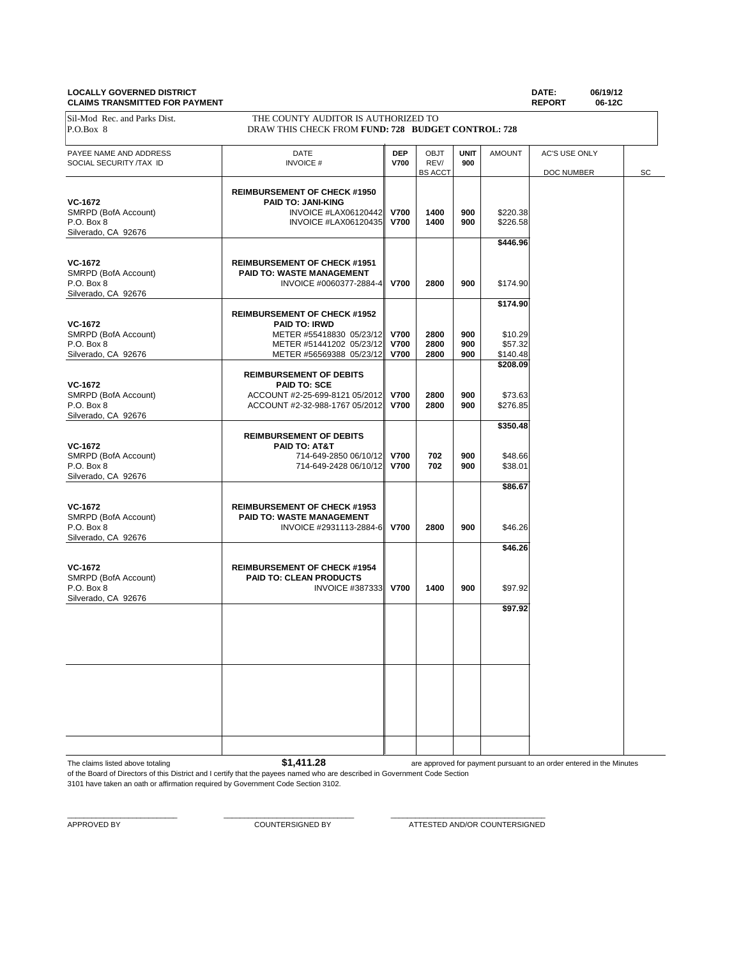### **LOCALLY GOVERNED DISTRICT DATE: 06/19/12 CLAIMS TRANSMITTED FOR PAYMENT**

| Sil-Mod Rec. and Parks Dist.<br>P.O.Box 8                            | THE COUNTY AUDITOR IS AUTHORIZED TO<br>DRAW THIS CHECK FROM FUND: 728 BUDGET CONTROL: 728                                                       |                                           |                                |                    |                                            |                             |    |
|----------------------------------------------------------------------|-------------------------------------------------------------------------------------------------------------------------------------------------|-------------------------------------------|--------------------------------|--------------------|--------------------------------------------|-----------------------------|----|
| PAYEE NAME AND ADDRESS<br>SOCIAL SECURITY /TAX ID                    | DATE<br><b>INVOICE#</b>                                                                                                                         | <b>DEP</b><br><b>V700</b>                 | OBJT<br>REV/<br><b>BS ACCT</b> | <b>UNIT</b><br>900 | <b>AMOUNT</b>                              | AC'S USE ONLY<br>DOC NUMBER | SC |
| VC-1672<br>SMRPD (BofA Account)<br>P.O. Box 8<br>Silverado, CA 92676 | <b>REIMBURSEMENT OF CHECK #1950</b><br><b>PAID TO: JANI-KING</b><br>INVOICE #LAX06120442<br>INVOICE #LAX06120435                                | <b>V700</b><br><b>V700</b>                | 1400<br>1400                   | 900<br>900         | \$220.38<br>\$226.58<br>\$446.96           |                             |    |
| VC-1672<br>SMRPD (BofA Account)<br>P.O. Box 8<br>Silverado, CA 92676 | <b>REIMBURSEMENT OF CHECK #1951</b><br>PAID TO: WASTE MANAGEMENT<br>INVOICE #0060377-2884-4                                                     | <b>V700</b>                               | 2800                           | 900                | \$174.90                                   |                             |    |
| VC-1672<br>SMRPD (BofA Account)<br>P.O. Box 8<br>Silverado, CA 92676 | <b>REIMBURSEMENT OF CHECK #1952</b><br><b>PAID TO: IRWD</b><br>METER #55418830 05/23/12<br>METER #51441202 05/23/12<br>METER #56569388 05/23/12 | <b>V700</b><br><b>V700</b><br><b>V700</b> | 2800<br>2800<br>2800           | 900<br>900<br>900  | \$174.90<br>\$10.29<br>\$57.32<br>\$140.48 |                             |    |
| VC-1672<br>SMRPD (BofA Account)<br>P.O. Box 8<br>Silverado, CA 92676 | <b>REIMBURSEMENT OF DEBITS</b><br><b>PAID TO: SCE</b><br>ACCOUNT #2-25-699-8121 05/2012<br>ACCOUNT #2-32-988-1767 05/2012                       | <b>V700</b><br><b>V700</b>                | 2800<br>2800                   | 900<br>900         | \$208.09<br>\$73.63<br>\$276.85            |                             |    |
| VC-1672<br>SMRPD (BofA Account)<br>P.O. Box 8<br>Silverado, CA 92676 | <b>REIMBURSEMENT OF DEBITS</b><br>PAID TO: AT&T<br>714-649-2850 06/10/12<br>714-649-2428 06/10/12                                               | <b>V700</b><br><b>V700</b>                | 702<br>702                     | 900<br>900         | \$350.48<br>\$48.66<br>\$38.01             |                             |    |
| VC-1672<br>SMRPD (BofA Account)<br>P.O. Box 8<br>Silverado, CA 92676 | <b>REIMBURSEMENT OF CHECK #1953</b><br>PAID TO: WASTE MANAGEMENT<br>INVOICE #2931113-2884-6 V700                                                |                                           | 2800                           | 900                | \$86.67<br>\$46.26                         |                             |    |
| VC-1672<br>SMRPD (BofA Account)<br>P.O. Box 8<br>Silverado, CA 92676 | <b>REIMBURSEMENT OF CHECK #1954</b><br>PAID TO: CLEAN PRODUCTS<br><b>INVOICE #387333</b>                                                        | <b>V700</b>                               | 1400                           | 900                | \$46.26<br>\$97.92                         |                             |    |
|                                                                      |                                                                                                                                                 |                                           |                                |                    | \$97.92                                    |                             |    |
|                                                                      |                                                                                                                                                 |                                           |                                |                    |                                            |                             |    |
|                                                                      |                                                                                                                                                 |                                           |                                |                    |                                            |                             |    |

The claims listed above totaling **\$1,411.28** of the Board of Directors of this District and I certify that the payees named who are described in Government Code Section are approved for payment pursuant to an order entered in the Minutes

3101 have taken an oath or affirmation required by Government Code Section 3102.

 $\_$  , and the set of the set of the set of the set of the set of the set of the set of the set of the set of the set of the set of the set of the set of the set of the set of the set of the set of the set of the set of th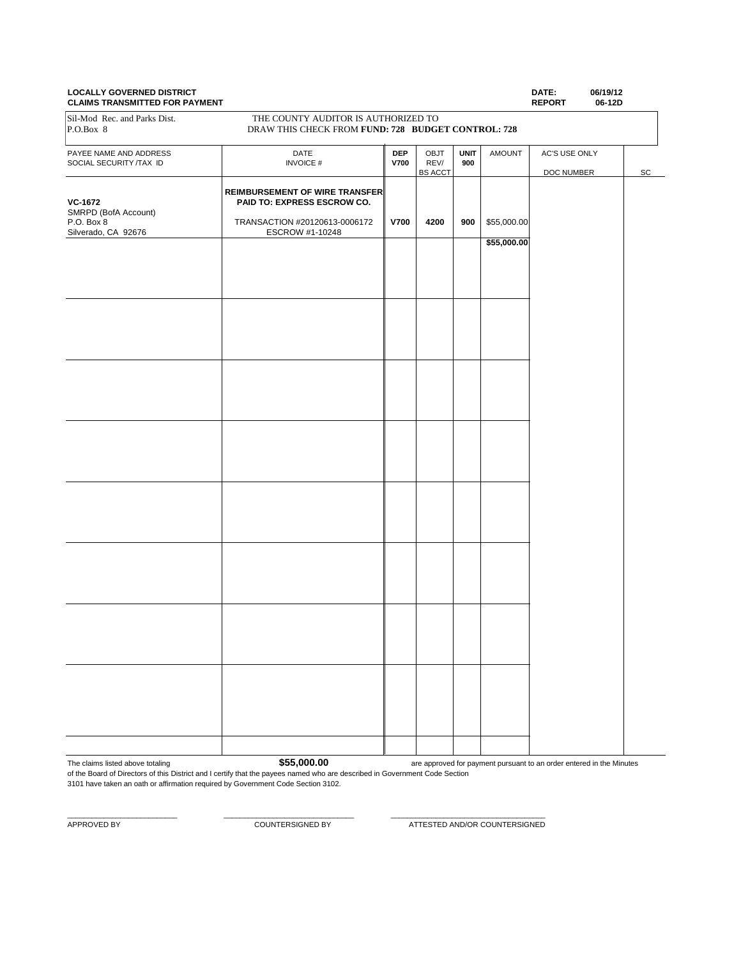# **CLAIMS TRANSMITTED FOR PAYMENT**

**LOCALLY GOVERNED DISTRICT DATE: 06/19/12** PAYEE NAME AND ADDRESS **DATE DEP** OBJT **UNIT** AMOUNT AC'S USE ONLY **DEP** OBJT **UNIT** AMOUNT AC'S USE ONLY **DEP** ORLY **DEP DEP DEP DEP DEP DEP DEP DEP DEP DEP DEP DEP DEP DEP DEP DEP DEP** SOCIAL SECURITY /TAX ID **INVOICE # V700** REV/ **95** ACC DOC NUMBER SC **REIMBURSEMENT OF WIRE TRANSFER VC-1672 PAID TO: EXPRESS ESCROW CO.** SMRPD (BofA Account)<br>P.O. Box 8 P.O. Box 8 TRANSACTION #20120613-0006172 **V700 4200 900** \$55,000.00 Silverado, CA 92676 **\$55,000.00** Sil-Mod Rec. and Parks Dist. THE COUNTY AUDITOR IS AUTHORIZED TO P.O.Box 8 DRAW THIS CHECK FROM **FUND: 728 BUDGET CONTROL: 728**

The claims listed above totaling **\$55,000.00** 

 $\_$  , and the set of the set of the set of the set of the set of the set of the set of the set of the set of the set of the set of the set of the set of the set of the set of the set of the set of the set of the set of th

are approved for payment pursuant to an order entered in the Minutes

of the Board of Directors of this District and I certify that the payees named who are described in Government Code Section 3101 have taken an oath or affirmation required by Government Code Section 3102.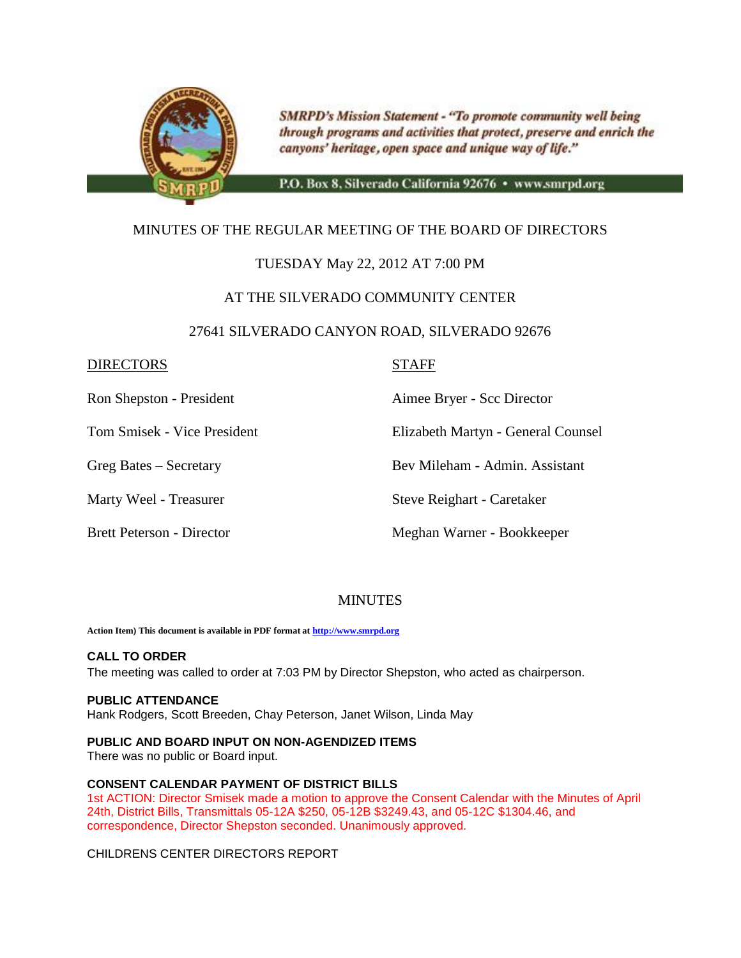

**SMRPD's Mission Statement - "To promote community well being** through programs and activities that protect, preserve and enrich the canyons' heritage, open space and unique way of life."

P.O. Box 8, Silverado California 92676 · www.smrpd.org

# MINUTES OF THE REGULAR MEETING OF THE BOARD OF DIRECTORS

# TUESDAY May 22, 2012 AT 7:00 PM

# AT THE SILVERADO COMMUNITY CENTER

### 27641 SILVERADO CANYON ROAD, SILVERADO 92676

### DIRECTORS STAFF

Ron Shepston - President Aimee Bryer - Scc Director

Tom Smisek - Vice President Elizabeth Martyn - General Counsel

Greg Bates – Secretary Bev Mileham - Admin. Assistant

Marty Weel - Treasurer Steve Reighart - Caretaker

Brett Peterson - Director **Meghan Warner - Bookkeeper** 

# **MINUTES**

**Action Item) This document is available in PDF format a[t http://www.smrpd.org](http://www.smrpd.org/)**

### **CALL TO ORDER**

The meeting was called to order at 7:03 PM by Director Shepston, who acted as chairperson.

### **PUBLIC ATTENDANCE**

Hank Rodgers, Scott Breeden, Chay Peterson, Janet Wilson, Linda May

### **PUBLIC AND BOARD INPUT ON NON-AGENDIZED ITEMS**

There was no public or Board input.

### **CONSENT CALENDAR PAYMENT OF DISTRICT BILLS**

1st ACTION: Director Smisek made a motion to approve the Consent Calendar with the Minutes of April 24th, District Bills, Transmittals 05-12A \$250, 05-12B \$3249.43, and 05-12C \$1304.46, and correspondence, Director Shepston seconded. Unanimously approved.

CHILDRENS CENTER DIRECTORS REPORT